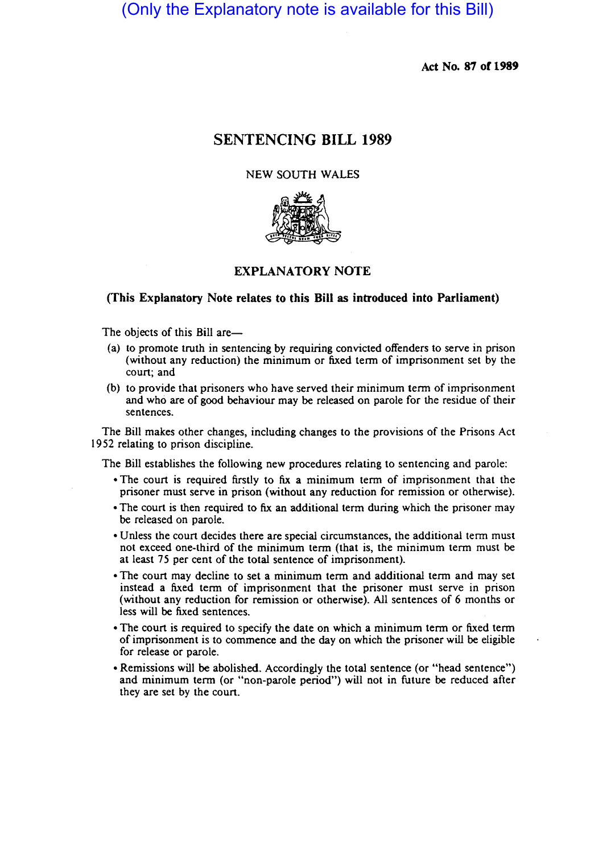# (Only the Explanatory note is available for this Bill)

Act No. 87 of 1989

## SENTENCING BILL 1989

## NEW SOUTH WALES



## EXPLANATORY NOTE

## (This Explanatory Note relates to this Bill as introduced into Parliament)

The objects of this Bill are-

- (a) to promote truth in sentencing by requiring convicted offenders to serve in prison (without any reduction) the minimum or fixed term of imprisonment set by the court; and
- (b) to provide that prisoners who have served their minimum term of imprisonment and who are of good behaviour may be released on parole for the residue of their sentences.

The Bill makes other changes, including changes to the provisions of the Prisons Act 1952 relating to prison discipline.

The Bill establishes the following new procedures relating to sentencing and parole:

- The court is required firstly to fix a minimum term of imprisonment that the prisoner must serve in prison (without any reduction for remission or otherwise).
- The court is then required to fix an additional term during which the prisoner may be released on parole.
- Unless the court decides there are special circumstances, the additional term must not exceed one-third of the minimum term (that is, the minimum term must be at least 75 per cent of the total sentence of imprisonment).
- The court may decline to set a minimum term and additional term and may set instead a fixed term of imprisonment that the prisoner must serve in prison (without any reduction for remission or otherwise). All sentences of 6 months or less will be fixed sentences .
- The court is required to specify the date on which a minimum term or fixed term of imprisonment is to commence and the day on which the prisoner will be eligible for release or parole.
- Remissions will be abolished. Accordingly the total sentence (or "head sentence") and minimum term (or "non-parole period") will not in future be reduced after they are set by the court.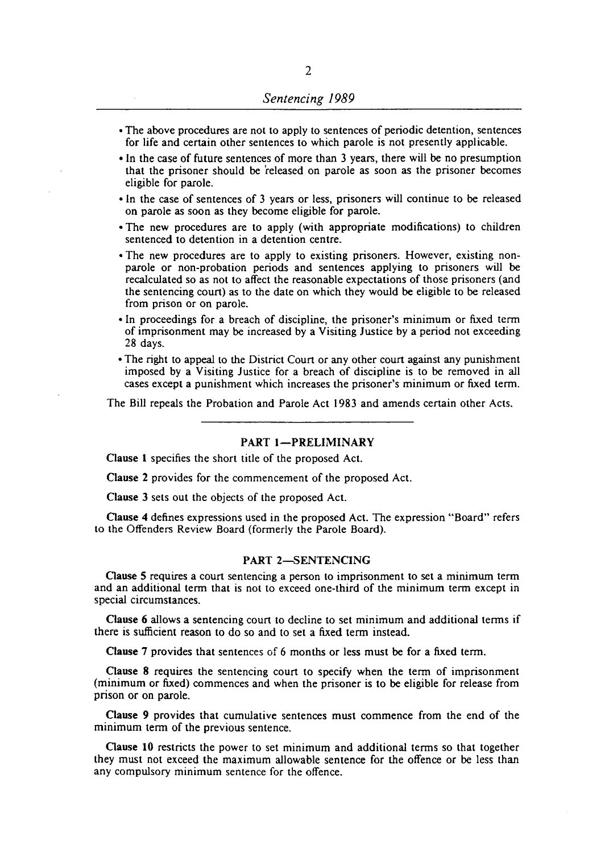- The above procedures are not to apply to sentences of periodic detention, sentences for life and certain other sentences to which parole is not presenlly applicable.
- In the case of future sentences of more than 3 years, there will be no presumption that the prisoner should be 'released on parole as soon as the prisoner becomes eligible for parole.
- In the case of sentences of 3 years or less, prisoners will continue to be released on parole as soon as they become eligible for parole.
- The new procedures are to apply (with appropriate modifications) to children sentenced to detention in a detention centre.
- The new procedures are to apply to existing prisoners. However, existing nonparole or non-probation periods and sentences applying to prisoners will be recalculated so as not to affect the reasonable expectations of those prisoners (and the sentencing court) as to the date on which they would be eligible to be released from prison or on parole.
- In proceedings for a breach of discipline, the prisoner's minimum or fixed term of imprisonment may be increased by a Visiting Justice by a period not exceeding 28 days.
- The right to appeal to the District Court or any other court against any punishment imposed by a Visiting Justice for a breach of discipline is to be removed in all cases except a punishment which increases the prisoner's minimum or fixed term.

The Bill repeals the Probation and Parole Act 1983 and amends certain other Acts.

#### PART 1-PRELIMINARY

Clause I specifies the short title of the proposed Act.

Clause 2 provides for the commencement of the proposed Act.

Clause 3 sets out the objects of the proposed Act.

Gause 4 defines expressions used in the proposed Act. The expression "Board" refers to the Offenders Review Board (formerly the Parole Board).

#### PART 2-SENTENCING

Gause 5 requires a court sentencing a person to imprisonment to set a minimum term and an additional term that is not to exceed one-third of the minimum term except in special circumstances.

Clause 6 allows a sentencing court to decline to set minimum and additional terms if there is sufficient reason to do so and to set a fixed term instead.

Clause 7 provides that sentences of 6 months or less must be for a fixed term.

Clause 8 requires the sentencing court to specify when the term of imprisonment (minimum or fixed) commences and when the prisoner is to be eligible for release from prison or on parole.

Clause 9 provides that cumulative sentences must commence from the end of the minimum term of the previous sentence.

Gause **10** restricts the power to set minimum and additional terms so that together they must not exceed the maximum allowable sentence for the offence or be less than any compulsory minimum sentence for the offence.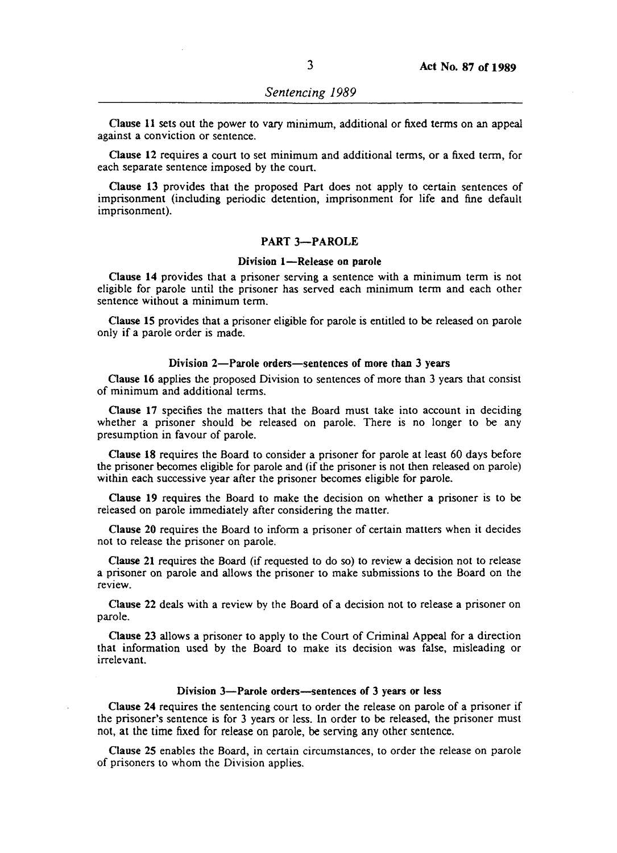Gause 11 sets out the power to vary minimum, additional or fixed terms on an appeal against a conviction or sentence.

Clause 12 requires a court to set minimum and additional terms, or a fixed term, for each separate sentence imposed by the court.

Clause 13 provides that the proposed Part does not apply to certain sentences of imprisonment (including periodic detention, imprisonment for life and fine default imprisonment).

## PART 3-PAROLE

#### Division 1-Release on parole

Clause 14 provides that a prisoner serving a sentence with a minimum term is not eligible for parole until the prisoner has served each minimum term and each other sentence without a minimum term.

Clause IS provides that a prisoner eligible for parole is entitled to be released on parole only if a parole order is made.

#### Division 2-Parole orders-sentences of more than 3 years

Gause 16 applies the proposed Division to sentences of more than 3 years that consist of minimum and additional terms.

Clause 17 specifies the matters that the Board must take into account in deciding whether a prisoner should be released on parole. There is no longer to be any presumption in favour of parole.

Clause 18 requires the Board to consider a prisoner for parole at least 60 days before the prisoner becomes eligible for parole and (if the prisoner is not then released on parole) within each successive year after the prisoner becomes eligible for parole.

Clause 19 requires the Board to make the decision on whether a prisoner is to be released on parole immediately after considering the matter.

Clause 20 requires the Board to inform a prisoner of certain matters when it decides not to release the prisoner on parole.

Clause 21 requires the Board (if requested to do so) to review a decision not to release a prisoner on parole and allows the prisoner to make submissions to the Board on the review.

Clause 22 deals with a review by the Board of a decision not to release a prisoner on parole.

Clause 23 allows a prisoner to apply to the Court of Criminal Appeal for a direction that information used by the Board to make its decision was false, misleading or irrelevant.

#### Division 3-Parole orders-sentences of 3 years or less

Clause 24 requires the sentencing court to order the release on parole of a prisoner if the prisoner's sentence is for 3 years or less. In order to be released, the prisoner must not, at the time fixed for release on parole, be serving any other sentence.

Clause 25 enables the Board, in certain circumstances, to order the release on parole of prisoners to whom the Division applies.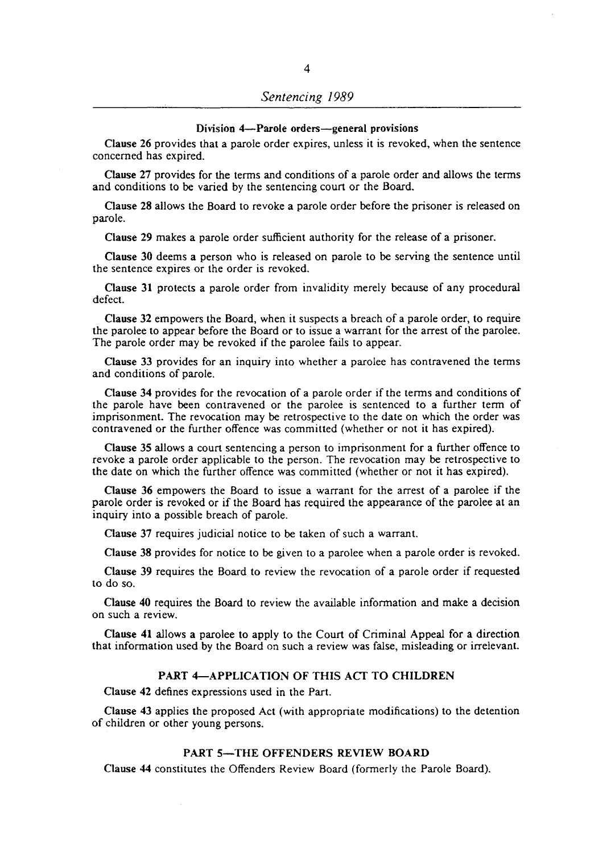#### Division 4-Parole orders-general provisions

Clause 26 provides that a parole order expires, unless it is revoked, when the sentence concerned has expired.

Clause 27 provides for the terms and conditions of a parole order and allows the terms and conditions to be varied by the sentencing court or the Board.

Clause 28 allows the Board to revoke a parole order before the prisoner is released on parole.

Clause 29 makes a parole order sufficient authority for the release of a prisoner.

Clause 30 deems a person who is released on parole to be serving the sentence until the sentence expires or the order is revoked.

Clause 31 protects a parole order from invalidity merely because of any procedural defect.

Clause 32 empowers the Board, when it suspects a breach of a parole order, to require the parolee to appear before the Board or to issue a warrant for the arrest of the parolee. The parole order may be revoked if the parolee fails to appear.

Clause 33 provides for an inquiry into whether a parolee has contravened the terms and conditions of parole.

Clause 34 provides for the revocation of a parole order if the terms and conditions of the parole have been contravened or the parolee is sentenced to a further term of imprisonment. The revocation may be retrospective to the date on which the order was contravened or the further offence was committed (whether or not it has expired).

Clause 35 allows a court sentencing a person to imprisonment for a further offence to revoke a parole order applicable to the person. The revocation may be retrospective to the date on which the further offence was committed (whether or not it has expired).

Clause  $36$  empowers the Board to issue a warrant for the arrest of a parolee if the parole order is revoked or if the Board has required the appearance of the parolee at an inquiry into a possible breach of parole.

Clause 37 requires judicial notice to be taken of such a warrant.

Clause 38 provides for notice to be given to a parolee when a parole order is revoked.

Clause 39 requires the Board to review the revocation of a parole order if requested to do so.

Oause 40 requires the Board to review the available information and make a decision on such a review.

Clause 41 allows a parolee to apply to the Court of Criminal Appeal for a direction that information used by the Board on such a review was false, misleading or irrelevant.

#### PART 4-APPLICATION OF THIS ACT TO CHILDREN

Clause 42 defines expressions used in the Part.

Clause 43 applies the proposed Act (with appropriate modifications) to the detention of children or other young persons.

## PART 5-THE OFFENDERS REVIEW BOARD

Clause 44 constitutes the Offenders Review Board (formerly the Parole Board).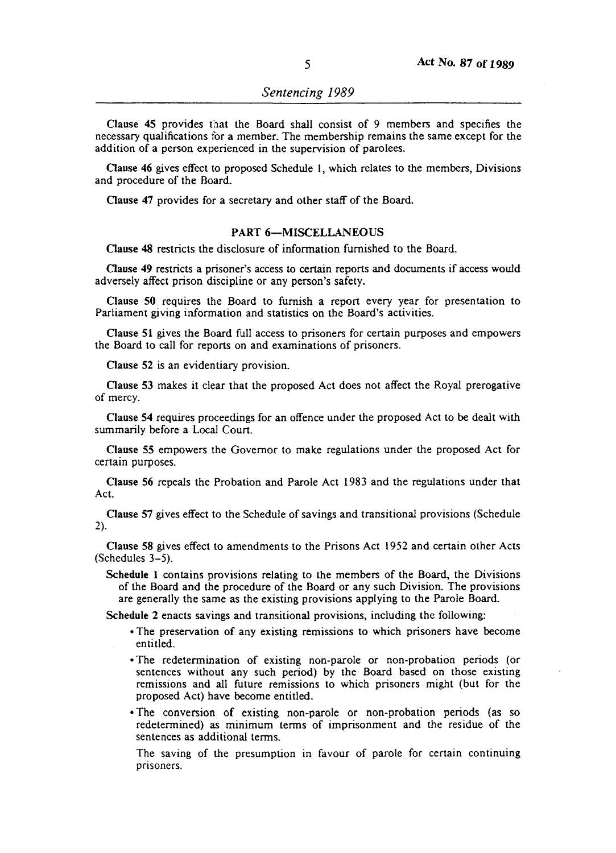Clause 45 provides that the Board shall consist of 9 members and specifies the necessary qualifications for a member. The membership remains the same except for the addition of a person experienced in the supervision of parolees.

Clause 46 gives effect to proposed Schedule I, which relates to the members, Divisions and procedure of the Board.

Clause 47 provides for a secretary and other staff of the Board.

## PART 6-MISCELLANEOUS

Clause 48 restricts the disclosure of information furnished to the Board.

Clause 49 restricts a prisoner's access to certain reports and documents if access would adversely affect prison discipline or any person's safety.

Clause 50 requires the Board to furnish a report every year for presentation to Parliament giving information and statistics on the Board's activities.

Clause 51 gives the Board full access to prisoners for certain purposes and empowers the Board to call for reports on and examinations of prisoners.

Clause 52 is an evidentiary provision.

Clause 53 makes it clear that the proposed Act does not affect the Royal prerogative of mercy.

Clause 54 requires proceedings for an offence under the proposed Act to be dealt with summarily before a Local Court.

Clause 55 empowers the Governor to make regulations under the proposed Act for certain purposes.

Clause 56 repeals the Probation and Parole Act 1983 and the regulations under that Act.

Clause 57 gives effect to the Schedule of savings and transitional provisions (Schedule 2).

Clause 58 gives effect to amendments to the Prisons Act 1952 and certain other Acts  $(Schedules 3-5)$ .

Schedule 1 contains provisions relating to the members of the Board, the Divisions of the Board and the procedure of the Board or any such Division. The provisions are generally the same as the existing provisions applying to the Parole Board.

Schedule 2 enacts savings and transitional provisions, including the following:

- The preservation of any existing remissions to which prisoners have become entitled.
- The redetermination of existing non-parole or non-probation periods (or sentences without any such period) by the Board based on those existing remissions and all future remissions to which prisoners might (but for the proposed Act) have become entitled.
- The conversion of existing non-parole or non-probation periods (as so redetermined) as minimum terms of imprisonment and the residue of the sentences as additional terms.

The saving of the presumption in favour of parole for certain continuing prisoners.